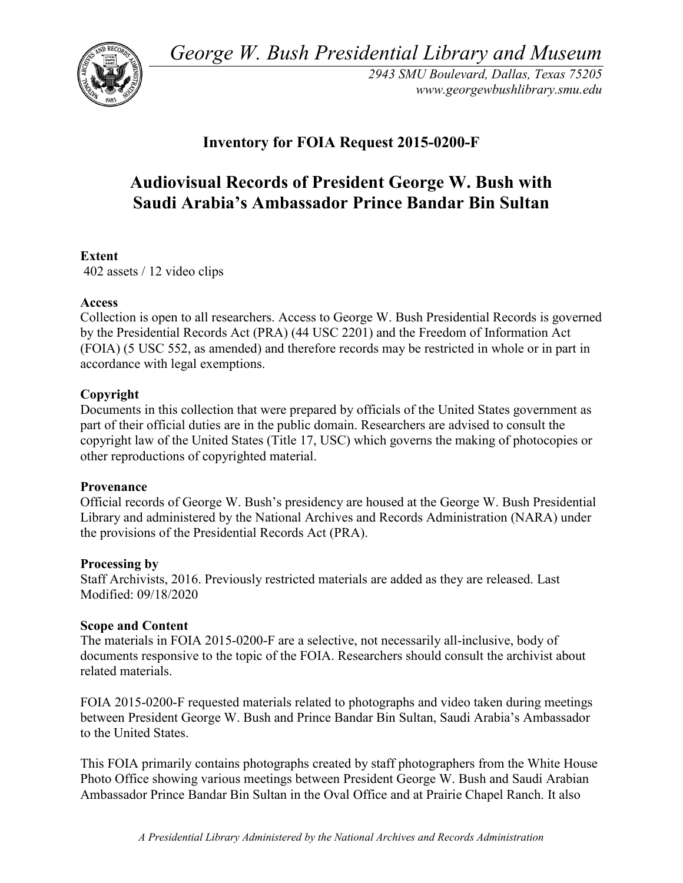*George W. Bush Presidential Library and Museum* 



 *2943 SMU Boulevard, Dallas, Texas 75205 <www.georgewbushlibrary.smu.edu>*

## **Inventory for FOIA Request 2015-0200-F**

# **Audiovisual Records of President George W. Bush with Saudi Arabia's Ambassador Prince Bandar Bin Sultan**

### **Extent**

402 assets / 12 video clips

#### **Access**

 by the Presidential Records Act (PRA) (44 USC 2201) and the Freedom of Information Act Collection is open to all researchers. Access to George W. Bush Presidential Records is governed (FOIA) (5 USC 552, as amended) and therefore records may be restricted in whole or in part in accordance with legal exemptions.

#### **Copyright**

 Documents in this collection that were prepared by officials of the United States government as part of their official duties are in the public domain. Researchers are advised to consult the copyright law of the United States (Title 17, USC) which governs the making of photocopies or other reproductions of copyrighted material.

#### **Provenance**

 Official records of George W. Bush's presidency are housed at the George W. Bush Presidential Library and administered by the National Archives and Records Administration (NARA) under the provisions of the Presidential Records Act (PRA).

#### **Processing by**

 Modified: 09/18/2020 Staff Archivists, 2016. Previously restricted materials are added as they are released. Last

#### **Scope and Content**

The materials in FOIA 2015-0200-F are a selective, not necessarily all-inclusive, body of documents responsive to the topic of the FOIA. Researchers should consult the archivist about related materials.

FOIA 2015-0200-F requested materials related to photographs and video taken during meetings between President George W. Bush and Prince Bandar Bin Sultan, Saudi Arabia's Ambassador to the United States.

 Photo Office showing various meetings between President George W. Bush and Saudi Arabian This FOIA primarily contains photographs created by staff photographers from the White House Ambassador Prince Bandar Bin Sultan in the Oval Office and at Prairie Chapel Ranch. It also